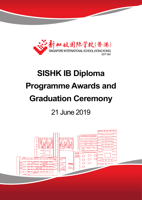

# **SISHK IB Diploma Programme Awards and Graduation Ceremony** 21 June 2019



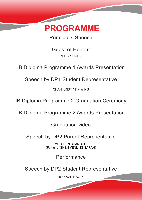

Principal's Speech

Guest of Honour PERCY HUNG

IB Diploma Programme 1 Awards Presentation

Speech by DP1 Student Representative

CHAN KRISTY TIN WING

IB Diploma Programme 2 Graduation Ceremony

IB Diploma Programme 2 Awards Presentation

Graduation video

Speech by DP2 Parent Representative

MR. SHEN SHANGHUI (Father of SHEN YENLING SARAH)

Performance

Speech by DP2 Student Representative

HO KAZE HAU YI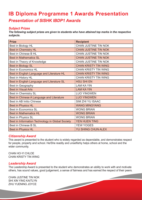# **IB Diploma Programme 1 Awards Presentation Presentation of SISHK IBDP1 Awards**

# **Subject Prizes**

**The following subject prizes are given to students who have attained top marks in the respective subjects.**

| <b>Prize</b>                                     | <b>Recipient</b>            |
|--------------------------------------------------|-----------------------------|
| Best in Biology HL                               | CHAN JUSTINE TIN NOK        |
| <b>Best in Chemistry HL</b>                      | <b>CHAN JUSTINE TIN NOK</b> |
| Best in Chinese B HL                             | <b>CHAN JUSTINE TIN NOK</b> |
| <b>Best in Mathematics SL</b>                    | <b>CHAN JUSTINE TIN NOK</b> |
| Best in Theory of Knowledge                      | CHAN JUSTINE TIN NOK        |
| <b>Best in Biology SL</b>                        | <b>CHAN KRISTY TIN WING</b> |
| <b>Best in Economics HL</b>                      | <b>CHAN KRISTY TIN WING</b> |
| Best in English Language and Literature HL       | <b>CHAN KRISTY TIN WING</b> |
| Best in History HL                               | <b>CHAN KRISTY TIN WING</b> |
| Best in English Language and Literature SL       | <b>HSU SHI EN</b>           |
| <b>Best in Geography</b>                         | <b>LAM KA YIN</b>           |
| <b>Best in Visual Arts</b>                       | <b>LAM KA YIN</b>           |
| <b>Best in Chemistry SL</b>                      | <b>LUO YINGWEN</b>          |
| Best in Chinese A Language and Literature        | <b>LUO YINGWEN</b>          |
| Best in AB Initio Chinese                        | <b>SIM ZHI YU ISAAC</b>     |
| <b>Best in Physics HL</b>                        | <b>WANG MINGYANG</b>        |
| <b>Best in Economics SL</b>                      | <b>WONG BRIAN</b>           |
| <b>Best in Mathematics HL</b>                    | <b>WONG BRIAN</b>           |
| <b>Best in Physics SL</b>                        | <b>WONG BRIAN</b>           |
| Best in Information Technology in Global Society | <b>YEN HUEN TING</b>        |
| Best in Chinese B SL                             | <b>YEW YOGES</b>            |
| <b>Best in Physics HL</b>                        | YU SHING CHUN ALEX          |

# **Citizenship Award**

This award is presented to the student who is widely regarded as dependable, and demonstrates respect for people, property and school. He/She readily and unselfishly helps others at home, school and the wider community.

CHAN HO-YI CHLOE CHAN KRISTY TIN WING

# **Leadership Award**

The Leadership Award is presented to the student who demonstrates an ability to work with and motivate others, has sound values, good judgement, a sense of fairness and has earned the respect of their peers.

CHAN JUSTINE TIN NOK SHI XIN YING KAITLYN ZHU YUENING JOYCE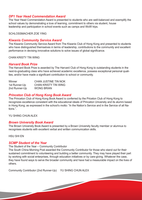### **DP1 Year Head Commendation Award**

The Year Head Commendation Award is presented to students who are well-balanced and exemplify the school values by demonstrating a love of learning, commitment to others via student, house leadership and participation in school events such as camps and WoW trips.

#### SCHLOSSMACHER ZOE YING

### *Kiwanis Community Service Award*

The Kiwanis Community Service Award from The Kiwanis Club of Hong Kong and presented to students who have distinguished themselves in terms of leadership, contributions to the community and excellent performance in devising innovative solutions to solve issues of global significance.

CHAN KRISTY TIN WING

# *Harvard Book Prize*

The Harvard Book Prize is awarded by The Harvard Club of Hong Kong to outstanding students in the next-to-graduating class who have achieved academic excellence, possess exceptional personal qualities, and/or have made a significant contribution to school or community.

| <b>Winner</b> | <b>CHAN JUSTINE TIN NOK</b> |
|---------------|-----------------------------|
| 1st Runner-Up | <b>CHAN KRISTY TIN WING</b> |
| 2nd Runner-Up | <b>WONG BRIAN</b>           |

### *Princeton Club of Hong Kong Book Award*

The Princeton Club of Hong Kong Book Award is conferred by the Priceton Club of Hong Kong to recognizes excellence consistent with the educational ideals of Princeton University and its alumni based in Hong Kong; as expressed in the school's motto: "In the Nation's Service and in the Service of all Nations.".

YU SHING CHUN ALEX

### *Brown University Book Award*

The Brown University Book Award is presented by a Brown University faculty member or alumnus to recognises students with excellent verbal and written communication skills.

HSU SHI EN

### *SCMP Student of the Year*

The Student of the Year – Community Contributor

The South China Morning Post awarded the Community Contributor for those who stand out for their sustained commitment to volunteering and building a better community. They may have played their part by working with social enterprises, through education initiatives or by care-giving. Whatever the case, they have found ways to serve the broader community and have had a measurable impact on the lives of others.

Community Contributor (2nd Runner-Up) YU SHING CHUN ALEX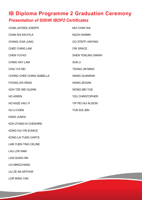# **IB Diploma Programme 2 Graduation Ceremony Presentation of SISHK IBDP2 Certificates**

| <b>CHAN JAYDEN JOSEPH</b>        | <b>MUI CHAK WA</b>        |
|----------------------------------|---------------------------|
| <b>CHAN SHI EN KYLA</b>          | <b>NGOH SHIMIN</b>        |
| <b>CHANG CHIA JUNG</b>           | <b>OO STEFFI XINYING</b>  |
| <b>CHEE CHING LAM</b>            | <b>OW GRACE</b>           |
| <b>CHEN YUYAO</b>                | <b>SHEN YENLING SARAH</b> |
| <b>CHING HAY LAM</b>             | <b>SUNLI</b>              |
| <b>CHIU YUI HEI</b>              | <b>TSONG JIN MING</b>     |
| <b>CHONG CHEE CHING ISABELLA</b> | <b>WANG GUANRAN</b>       |
| <b>FOONG ZHI HENG</b>            | <b>WANG ZEXIAN</b>        |
| <b>GOH TZE WEI GLENN</b>         | <b>WONG MEI YUE</b>       |
| <b>HO AIWEN</b>                  | <b>YEU CHRISTOPHER</b>    |
| <b>HO KAZE HAU YI</b>            | <b>YIP PEI HUI ALISON</b> |
| <b>HU LI-CHEN</b>                | <b>YUN SOL BIN</b>        |
| <b>KANG JUNHA</b>                |                           |
| KOH ZYANG KI CHESHIRE            |                           |

KONG HUI YIN EUNICE

KONG LAI TUNG CARYS

LAM YUEN TING CELINE

LAU LOK NAM

LAW SUNG HIN

LIU MINGCHANG

LIU ZE AN ARTHUR

LOR WING YAN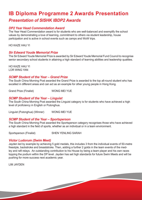# **IB Diploma Programme 2 Awards Presentation Presentation of SISHK IBDP2 Awards**

# **DP2 Year Head Commendation Award**

The Year Head Commendation award is for students who are well-balanced and exemplify the school values by demonstrating a love of learning, commitment to others via student leadership, house participation and is active in school events such as camps and WoW trips.

HO KAZE HAU YI

# **Sir Edward Youde Memorial Prize**

The Sir Edward Youde Memorial Prize is awarded by Sir Edward Youde Memorial Fund Council to recognise senior secondary school students in attaining a high standard of learning abilities and leadership qualities.

HO KAZE HAU YI LOR WING YAN

# **SCMP Student of the Year – Grand Prize**

The South China Morning Post awarded the Grand Prize is awarded to the top all-round student who has excelled in different areas and can act as an example for other young people in Hong Kong.

Grand Prize (Finalist) WONG MEI YUE

# **SCMP Student of the Year – Linguist**

The South China Morning Post awarded the Linguist category is for students who have achieved a high level of proficiency in English or Putonghua.

Linguist (Putonghua) (Winner) WONG MEI YUE

# **SCMP Student of the Year – Sportsperson**

The South China Morning Post awarded the Sportsperson category recognises those who have achieved a high standard in the field of sports, whether as an individual or in a team environment.

Sportsperson (Finalist) SHEN YENLING SARAH

# **Victor Ludorum (Swim Meet)**

Jayden led by example by achieving 5 gold medals, this includes 3 from the individual events of 50-metre freestyle, backstroke and breaststroke. Then, adding a further 2 golds in the team events of the medley and raft relays. An outstanding contribution to his House by being a team player and his own races topping the podium within the DP level. Jayden has set high standards for future Swim Meets and will be pushing for more success next academic year.

LIM JAYDEN